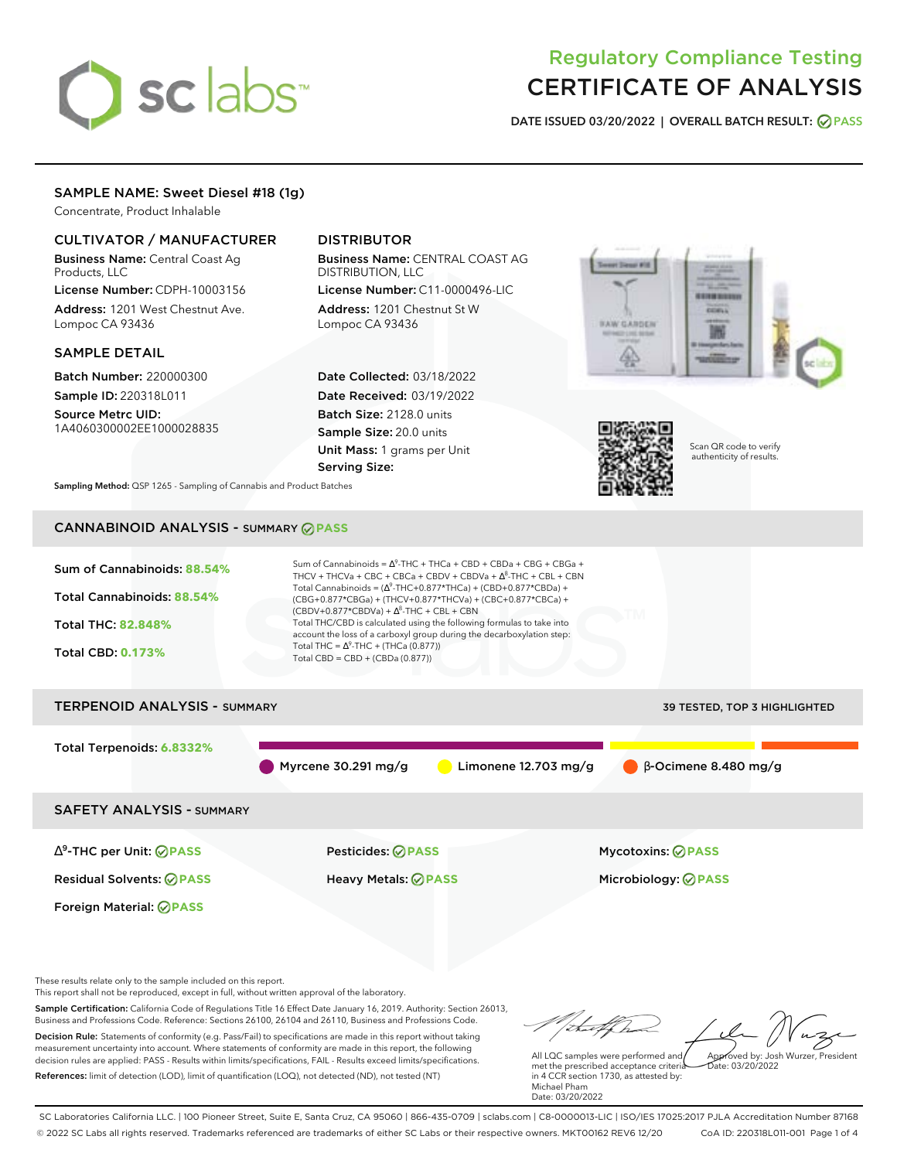# sclabs<sup>\*</sup>

# Regulatory Compliance Testing CERTIFICATE OF ANALYSIS

**DATE ISSUED 03/20/2022 | OVERALL BATCH RESULT: PASS**

# SAMPLE NAME: Sweet Diesel #18 (1g)

Concentrate, Product Inhalable

# CULTIVATOR / MANUFACTURER

Business Name: Central Coast Ag Products, LLC

License Number: CDPH-10003156 Address: 1201 West Chestnut Ave. Lompoc CA 93436

# SAMPLE DETAIL

Batch Number: 220000300 Sample ID: 220318L011

Source Metrc UID: 1A4060300002EE1000028835

# DISTRIBUTOR

Business Name: CENTRAL COAST AG DISTRIBUTION, LLC License Number: C11-0000496-LIC

Address: 1201 Chestnut St W Lompoc CA 93436

Date Collected: 03/18/2022 Date Received: 03/19/2022 Batch Size: 2128.0 units Sample Size: 20.0 units Unit Mass: 1 grams per Unit Serving Size:





Scan QR code to verify authenticity of results.

**Sampling Method:** QSP 1265 - Sampling of Cannabis and Product Batches

# CANNABINOID ANALYSIS - SUMMARY **PASS**



Sample Certification: California Code of Regulations Title 16 Effect Date January 16, 2019. Authority: Section 26013, Business and Professions Code. Reference: Sections 26100, 26104 and 26110, Business and Professions Code. Decision Rule: Statements of conformity (e.g. Pass/Fail) to specifications are made in this report without taking measurement uncertainty into account. Where statements of conformity are made in this report, the following decision rules are applied: PASS - Results within limits/specifications, FAIL - Results exceed limits/specifications. References: limit of detection (LOD), limit of quantification (LOQ), not detected (ND), not tested (NT)

tal fCh Approved by: Josh Wurzer, President All LQC samples were performed and  $\frac{1}{2}$ ate: 03/20/2022

met the prescribed acceptance criteria in 4 CCR section 1730, as attested by: Michael Pham Date: 03/20/2022

SC Laboratories California LLC. | 100 Pioneer Street, Suite E, Santa Cruz, CA 95060 | 866-435-0709 | sclabs.com | C8-0000013-LIC | ISO/IES 17025:2017 PJLA Accreditation Number 87168 © 2022 SC Labs all rights reserved. Trademarks referenced are trademarks of either SC Labs or their respective owners. MKT00162 REV6 12/20 CoA ID: 220318L011-001 Page 1 of 4